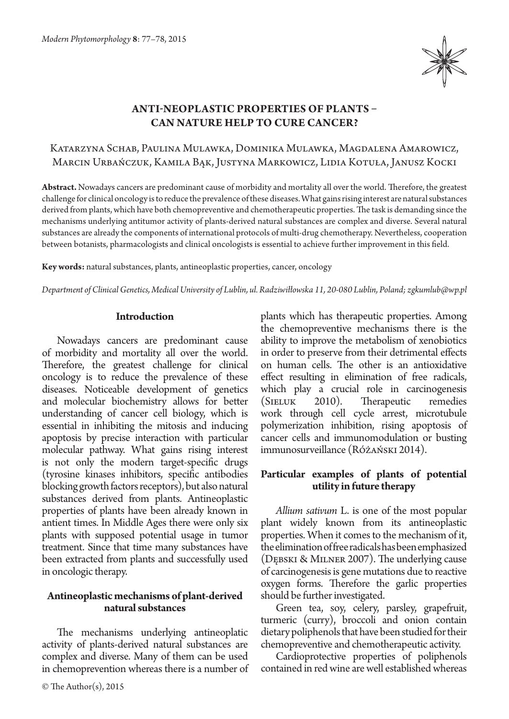

# **Anti-neoplastic properties of plants – can nature help to cure cancer?**

# Katarzyna Schab, Paulina Mulawka, Dominika Mulawka, Magdalena Amarowicz, Marcin Urbańczuk, Kamila Bąk, Justyna Markowicz, Lidia Kotuła, Janusz Kocki

**Abstract.** Nowadays cancers are predominant cause of morbidity and mortality all over the world. Therefore, the greatest challenge for clinical oncology is to reduce the prevalence of these diseases. What gains rising interest are natural substances derived from plants, which have both chemopreventive and chemotherapeutic properties. The task is demanding since the mechanisms underlying antitumor activity of plants-derived natural substances are complex and diverse. Several natural substances are already the components of international protocols of multi-drug chemotherapy. Nevertheless, cooperation between botanists, pharmacologists and clinical oncologists is essential to achieve further improvement in this field.

**Key words:** natural substances, plants, antineoplastic properties, cancer, oncology

*Department of Clinical Genetics, Medical University of Lublin, ul. Radziwiłłowska 11, 20-080 Lublin, Poland; zgkumlub@wp.pl*

#### **Introduction**

Nowadays cancers are predominant cause of morbidity and mortality all over the world. Therefore, the greatest challenge for clinical oncology is to reduce the prevalence of these diseases. Noticeable development of genetics and molecular biochemistry allows for better understanding of cancer cell biology, which is essential in inhibiting the mitosis and inducing apoptosis by precise interaction with particular molecular pathway. What gains rising interest is not only the modern target-specific drugs (tyrosine kinases inhibitors, specific antibodies blocking growth factors receptors), but also natural substances derived from plants. Antineoplastic properties of plants have been already known in antient times. In Middle Ages there were only six plants with supposed potential usage in tumor treatment. Since that time many substances have been extracted from plants and successfully used in oncologic therapy.

#### **Antineoplastic mechanisms of plant-derived natural substances**

The mechanisms underlying antineoplatic activity of plants-derived natural substances are complex and diverse. Many of them can be used in chemoprevention whereas there is a number of

plants which has therapeutic properties. Among the chemopreventive mechanisms there is the ability to improve the metabolism of xenobiotics in order to preserve from their detrimental effects on human cells. The other is an antioxidative effect resulting in elimination of free radicals, which play a crucial role in carcinogenesis<br>(SIELUK 2010). Therapeutic remedies (SIELUK 2010). Therapeutic remedies work through cell cycle arrest, microtubule polymerization inhibition, rising apoptosis of cancer cells and immunomodulation or busting immunosurveillance (Różański 2014).

## **Particular examples of plants of potential utility in future therapy**

*Allium sativum* L. is one of the most popular plant widely known from its antineoplastic properties. When it comes to the mechanism of it, the elimination of free radicals has been emphasized (Dębski & Milner 2007). The underlying cause of carcinogenesis is gene mutations due to reactive oxygen forms. Therefore the garlic properties should be further investigated.

Green tea, soy, celery, parsley, grapefruit, turmeric (curry), broccoli and onion contain dietary poliphenols that have been studied for their chemopreventive and chemotherapeutic activity.

Cardioprotective properties of poliphenols contained in red wine are well established whereas